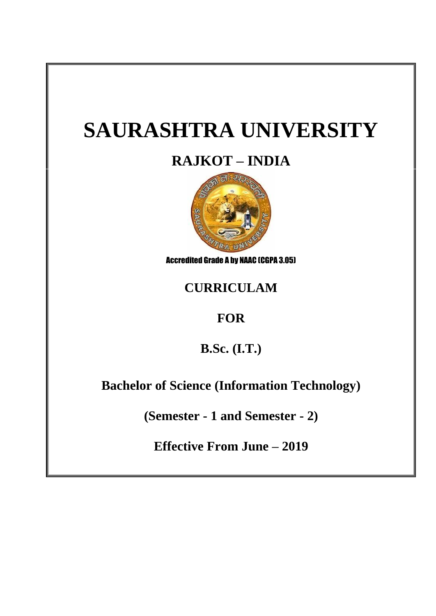# **SAURASHTRA UNIVERSITY**

# **RAJKOT – INDIA**



Accredited Grade A by NAAC (CGPA 3.05)

# **CURRICULAM**

# **FOR**

**B.Sc. (I.T.)**

**Bachelor of Science (Information Technology)**

**(Semester - 1 and Semester - 2)**

**Effective From June – 2019**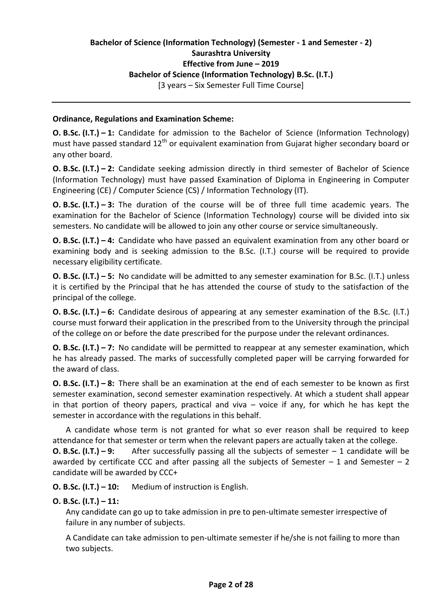# **Bachelor of Science (Information Technology) (Semester - 1 and Semester - 2) Saurashtra University Effective from June – 2019 Bachelor of Science (Information Technology) B.Sc. (I.T.)**

[3 years – Six Semester Full Time Course]

#### **Ordinance, Regulations and Examination Scheme:**

**O. B.Sc. (I.T.) – 1:** Candidate for admission to the Bachelor of Science (Information Technology) must have passed standard  $12<sup>th</sup>$  or equivalent examination from Gujarat higher secondary board or any other board.

**O. B.Sc. (I.T.) – 2:** Candidate seeking admission directly in third semester of Bachelor of Science (Information Technology) must have passed Examination of Diploma in Engineering in Computer Engineering (CE) / Computer Science (CS) / Information Technology (IT).

**O. B.Sc. (I.T.) – 3:** The duration of the course will be of three full time academic years. The examination for the Bachelor of Science (Information Technology) course will be divided into six semesters. No candidate will be allowed to join any other course or service simultaneously.

**O. B.Sc. (I.T.) – 4:** Candidate who have passed an equivalent examination from any other board or examining body and is seeking admission to the B.Sc. (I.T.) course will be required to provide necessary eligibility certificate.

**O. B.Sc. (I.T.) – 5:** No candidate will be admitted to any semester examination for B.Sc. (I.T.) unless it is certified by the Principal that he has attended the course of study to the satisfaction of the principal of the college.

**O. B.Sc. (I.T.) – 6:** Candidate desirous of appearing at any semester examination of the B.Sc. (I.T.) course must forward their application in the prescribed from to the University through the principal of the college on or before the date prescribed for the purpose under the relevant ordinances.

**O. B.Sc. (I.T.) – 7:** No candidate will be permitted to reappear at any semester examination, which he has already passed. The marks of successfully completed paper will be carrying forwarded for the award of class.

**O. B.Sc. (I.T.) – 8:** There shall be an examination at the end of each semester to be known as first semester examination, second semester examination respectively. At which a student shall appear in that portion of theory papers, practical and viva  $-$  voice if any, for which he has kept the semester in accordance with the regulations in this behalf.

A candidate whose term is not granted for what so ever reason shall be required to keep attendance for that semester or term when the relevant papers are actually taken at the college.

**O. B.Sc. (I.T.) – 9:** After successfully passing all the subjects of semester – 1 candidate will be awarded by certificate CCC and after passing all the subjects of Semester  $-1$  and Semester  $-2$ candidate will be awarded by CCC+

**O. B.Sc. (I.T.) – 10:** Medium of instruction is English.

# **O. B.Sc. (I.T.) – 11:**

Any candidate can go up to take admission in pre to pen-ultimate semester irrespective of failure in any number of subjects.

A Candidate can take admission to pen-ultimate semester if he/she is not failing to more than two subjects.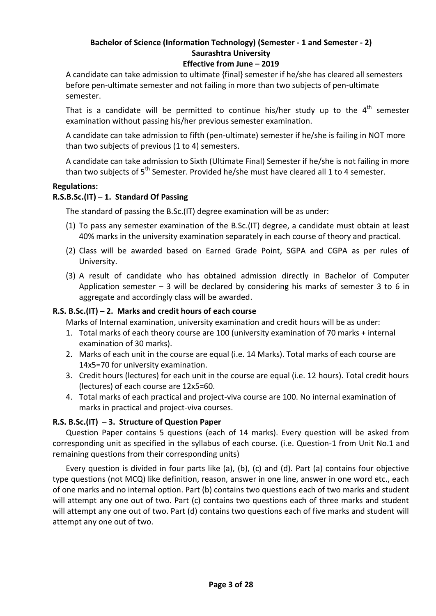#### **Effective from June – 2019**

A candidate can take admission to ultimate {final} semester if he/she has cleared all semesters before pen-ultimate semester and not failing in more than two subjects of pen-ultimate semester.

That is a candidate will be permitted to continue his/her study up to the  $4<sup>th</sup>$  semester examination without passing his/her previous semester examination.

A candidate can take admission to fifth (pen-ultimate) semester if he/she is failing in NOT more than two subjects of previous (1 to 4) semesters.

A candidate can take admission to Sixth (Ultimate Final) Semester if he/she is not failing in more than two subjects of  $5<sup>th</sup>$  Semester. Provided he/she must have cleared all 1 to 4 semester.

#### **Regulations:**

#### **R.S.B.Sc.(IT) – 1. Standard Of Passing**

The standard of passing the B.Sc.(IT) degree examination will be as under:

- (1) To pass any semester examination of the B.Sc.(IT) degree, a candidate must obtain at least 40% marks in the university examination separately in each course of theory and practical.
- (2) Class will be awarded based on Earned Grade Point, SGPA and CGPA as per rules of University.
- (3) A result of candidate who has obtained admission directly in Bachelor of Computer Application semester  $-3$  will be declared by considering his marks of semester 3 to 6 in aggregate and accordingly class will be awarded.

#### **R.S. B.Sc.(IT) – 2. Marks and credit hours of each course**

Marks of Internal examination, university examination and credit hours will be as under:

- 1. Total marks of each theory course are 100 (university examination of 70 marks + internal examination of 30 marks).
- 2. Marks of each unit in the course are equal (i.e. 14 Marks). Total marks of each course are 14x5=70 for university examination.
- 3. Credit hours (lectures) for each unit in the course are equal (i.e. 12 hours). Total credit hours (lectures) of each course are 12x5=60.
- 4. Total marks of each practical and project-viva course are 100. No internal examination of marks in practical and project-viva courses.

#### **R.S. B.Sc.(IT) – 3. Structure of Question Paper**

Question Paper contains 5 questions (each of 14 marks). Every question will be asked from corresponding unit as specified in the syllabus of each course. (i.e. Question-1 from Unit No.1 and remaining questions from their corresponding units)

Every question is divided in four parts like (a), (b), (c) and (d). Part (a) contains four objective type questions (not MCQ) like definition, reason, answer in one line, answer in one word etc., each of one marks and no internal option. Part (b) contains two questions each of two marks and student will attempt any one out of two. Part (c) contains two questions each of three marks and student will attempt any one out of two. Part (d) contains two questions each of five marks and student will attempt any one out of two.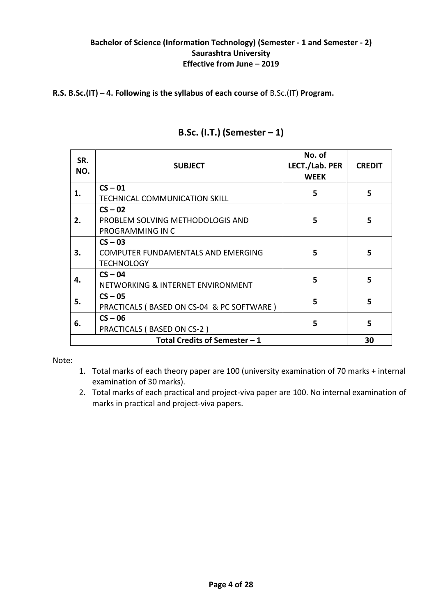#### **R.S. B.Sc.(IT) – 4. Following is the syllabus of each course of** B.Sc.(IT) **Program.**

| SR.<br>NO.                     | <b>SUBJECT</b>                            | No. of<br>LECT./Lab. PER<br><b>WEEK</b> | <b>CREDIT</b> |  |
|--------------------------------|-------------------------------------------|-----------------------------------------|---------------|--|
| 1.                             | $CS - 01$                                 | 5                                       | 5             |  |
|                                | <b>TECHNICAL COMMUNICATION SKILL</b>      |                                         |               |  |
| 2.                             | $CS - 02$                                 |                                         |               |  |
|                                | PROBLEM SOLVING METHODOLOGIS AND          | 5<br>5                                  |               |  |
|                                | PROGRAMMING IN C                          |                                         |               |  |
|                                | $CS - 03$                                 |                                         |               |  |
| 3.                             | COMPUTER FUNDAMENTALS AND EMERGING        | 5                                       | 5             |  |
|                                | <b>TECHNOLOGY</b>                         |                                         |               |  |
|                                | $CS - 04$                                 |                                         |               |  |
| 4.                             | NETWORKING & INTERNET ENVIRONMENT         | 5                                       | 5             |  |
| 5.                             | $CS - 05$                                 |                                         |               |  |
|                                | PRACTICALS (BASED ON CS-04 & PC SOFTWARE) | 5                                       | 5             |  |
|                                | $CS - 06$                                 |                                         |               |  |
| 6.                             | PRACTICALS (BASED ON CS-2)                | 5                                       | 5             |  |
| Total Credits of Semester $-1$ |                                           |                                         |               |  |

# **B.Sc. (I.T.) (Semester – 1)**

Note:

- 1. Total marks of each theory paper are 100 (university examination of 70 marks + internal examination of 30 marks).
- 2. Total marks of each practical and project-viva paper are 100. No internal examination of marks in practical and project-viva papers.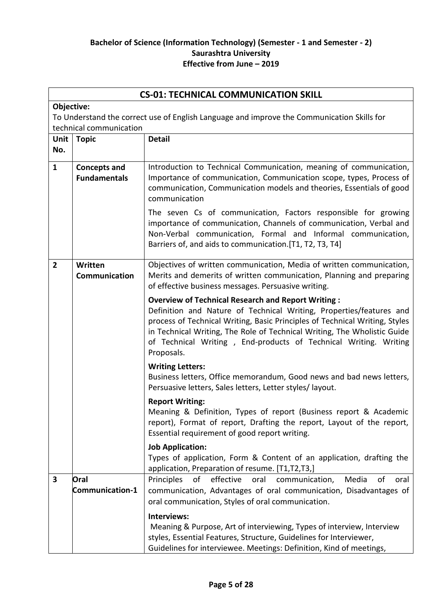|                | <b>CS-01: TECHNICAL COMMUNICATION SKILL</b>                                                                           |                                                                                                                                                                                                                                                                                                                                                                               |  |
|----------------|-----------------------------------------------------------------------------------------------------------------------|-------------------------------------------------------------------------------------------------------------------------------------------------------------------------------------------------------------------------------------------------------------------------------------------------------------------------------------------------------------------------------|--|
|                | Objective:                                                                                                            |                                                                                                                                                                                                                                                                                                                                                                               |  |
|                | To Understand the correct use of English Language and improve the Communication Skills for<br>technical communication |                                                                                                                                                                                                                                                                                                                                                                               |  |
| Unit  <br>No.  | <b>Topic</b>                                                                                                          | <b>Detail</b>                                                                                                                                                                                                                                                                                                                                                                 |  |
| $\mathbf{1}$   | <b>Concepts and</b><br><b>Fundamentals</b>                                                                            | Introduction to Technical Communication, meaning of communication,<br>Importance of communication, Communication scope, types, Process of<br>communication, Communication models and theories, Essentials of good<br>communication                                                                                                                                            |  |
|                |                                                                                                                       | The seven Cs of communication, Factors responsible for growing<br>importance of communication, Channels of communication, Verbal and<br>Non-Verbal communication, Formal and Informal communication,<br>Barriers of, and aids to communication. [T1, T2, T3, T4]                                                                                                              |  |
| $\overline{2}$ | Written<br>Communication                                                                                              | Objectives of written communication, Media of written communication,<br>Merits and demerits of written communication, Planning and preparing<br>of effective business messages. Persuasive writing.                                                                                                                                                                           |  |
|                |                                                                                                                       | <b>Overview of Technical Research and Report Writing:</b><br>Definition and Nature of Technical Writing, Properties/features and<br>process of Technical Writing, Basic Principles of Technical Writing, Styles<br>in Technical Writing, The Role of Technical Writing, The Wholistic Guide<br>of Technical Writing, End-products of Technical Writing. Writing<br>Proposals. |  |
|                |                                                                                                                       | <b>Writing Letters:</b><br>Business letters, Office memorandum, Good news and bad news letters,<br>Persuasive letters, Sales letters, Letter styles/ layout.                                                                                                                                                                                                                  |  |
|                |                                                                                                                       | <b>Report Writing:</b><br>Meaning & Definition, Types of report (Business report & Academic<br>report), Format of report, Drafting the report, Layout of the report,<br>Essential requirement of good report writing.                                                                                                                                                         |  |
|                |                                                                                                                       | <b>Job Application:</b><br>Types of application, Form & Content of an application, drafting the<br>application, Preparation of resume. [T1,T2,T3,]                                                                                                                                                                                                                            |  |
| 3              | Oral<br><b>Communication-1</b>                                                                                        | of<br>effective<br>oral<br>communication,<br>Media<br>Principles<br>of<br>oral<br>communication, Advantages of oral communication, Disadvantages of<br>oral communication, Styles of oral communication.                                                                                                                                                                      |  |
|                |                                                                                                                       | Interviews:<br>Meaning & Purpose, Art of interviewing, Types of interview, Interview<br>styles, Essential Features, Structure, Guidelines for Interviewer,<br>Guidelines for interviewee. Meetings: Definition, Kind of meetings,                                                                                                                                             |  |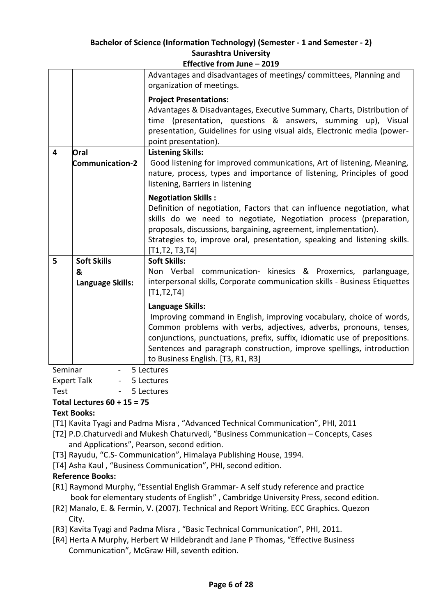|                | Effective from June – 2019 |                                                                                                                                                                                                                                                                                                                                                            |  |  |  |
|----------------|----------------------------|------------------------------------------------------------------------------------------------------------------------------------------------------------------------------------------------------------------------------------------------------------------------------------------------------------------------------------------------------------|--|--|--|
|                |                            | Advantages and disadvantages of meetings/ committees, Planning and<br>organization of meetings.                                                                                                                                                                                                                                                            |  |  |  |
|                |                            | <b>Project Presentations:</b><br>Advantages & Disadvantages, Executive Summary, Charts, Distribution of<br>time (presentation, questions & answers, summing up), Visual<br>presentation, Guidelines for using visual aids, Electronic media (power-<br>point presentation).                                                                                |  |  |  |
| $\overline{4}$ | Oral                       | <b>Listening Skills:</b>                                                                                                                                                                                                                                                                                                                                   |  |  |  |
|                | <b>Communication-2</b>     | Good listening for improved communications, Art of listening, Meaning,<br>nature, process, types and importance of listening, Principles of good<br>listening, Barriers in listening                                                                                                                                                                       |  |  |  |
|                |                            | <b>Negotiation Skills:</b><br>Definition of negotiation, Factors that can influence negotiation, what                                                                                                                                                                                                                                                      |  |  |  |
|                |                            | skills do we need to negotiate, Negotiation process (preparation,<br>proposals, discussions, bargaining, agreement, implementation).                                                                                                                                                                                                                       |  |  |  |
|                |                            | Strategies to, improve oral, presentation, speaking and listening skills.<br>[T1,T2, T3,T4]                                                                                                                                                                                                                                                                |  |  |  |
| 5              | <b>Soft Skills</b>         | <b>Soft Skills:</b>                                                                                                                                                                                                                                                                                                                                        |  |  |  |
|                | &<br>Language Skills:      | Non Verbal communication- kinesics & Proxemics, parlanguage,<br>interpersonal skills, Corporate communication skills - Business Etiquettes<br>[T1, T2, T4]                                                                                                                                                                                                 |  |  |  |
|                |                            | Language Skills:<br>Improving command in English, improving vocabulary, choice of words,<br>Common problems with verbs, adjectives, adverbs, pronouns, tenses,<br>conjunctions, punctuations, prefix, suffix, idiomatic use of prepositions.<br>Sentences and paragraph construction, improve spellings, introduction<br>to Business English. [T3, R1, R3] |  |  |  |
|                | Seminar<br>5 Lectures      |                                                                                                                                                                                                                                                                                                                                                            |  |  |  |

Expert Talk - 5 Lectures

# Test - 5 Lectures

# **Total Lectures 60 + 15 = 75**

#### **Text Books:**

[T1] Kavita Tyagi and Padma Misra , "Advanced Technical Communication", PHI, 2011

- [T2] P.D.Chaturvedi and Mukesh Chaturvedi, "Business Communication Concepts, Cases and Applications", Pearson, second edition.
- [T3] Rayudu, "C.S- Communication", Himalaya Publishing House, 1994.
- [T4] Asha Kaul, "Business Communication", PHI, second edition.

# **Reference Books:**

- [R1] Raymond Murphy, "Essential English Grammar- A self study reference and practice book for elementary students of English" , Cambridge University Press, second edition.
- [R2] Manalo, E. & Fermin, V. (2007). Technical and Report Writing. ECC Graphics. Quezon City.
- [R3] Kavita Tyagi and Padma Misra, "Basic Technical Communication", PHI, 2011.
- [R4] Herta A Murphy, Herbert W Hildebrandt and Jane P Thomas, "Effective Business Communication", McGraw Hill, seventh edition.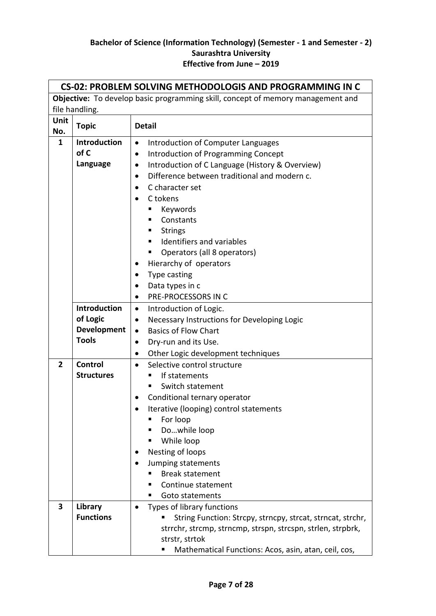| <b>Objective:</b> To develop basic programming skill, concept of memory management and<br>file handling.<br>Unit<br><b>Topic</b><br><b>Detail</b><br>No.<br><b>Introduction</b><br>1<br>Introduction of Computer Languages<br>$\bullet$<br>of C<br>Introduction of Programming Concept<br>$\bullet$ |
|-----------------------------------------------------------------------------------------------------------------------------------------------------------------------------------------------------------------------------------------------------------------------------------------------------|
|                                                                                                                                                                                                                                                                                                     |
|                                                                                                                                                                                                                                                                                                     |
|                                                                                                                                                                                                                                                                                                     |
|                                                                                                                                                                                                                                                                                                     |
|                                                                                                                                                                                                                                                                                                     |
|                                                                                                                                                                                                                                                                                                     |
| Language<br>Introduction of C Language (History & Overview)<br>$\bullet$                                                                                                                                                                                                                            |
| Difference between traditional and modern c.<br>$\bullet$                                                                                                                                                                                                                                           |
| C character set<br>٠                                                                                                                                                                                                                                                                                |
| C tokens                                                                                                                                                                                                                                                                                            |
| Keywords<br>٠                                                                                                                                                                                                                                                                                       |
| Constants<br>٠                                                                                                                                                                                                                                                                                      |
| <b>Strings</b>                                                                                                                                                                                                                                                                                      |
| Identifiers and variables<br>$\blacksquare$                                                                                                                                                                                                                                                         |
| Operators (all 8 operators)<br>٠                                                                                                                                                                                                                                                                    |
| Hierarchy of operators<br>$\bullet$                                                                                                                                                                                                                                                                 |
| Type casting<br>$\bullet$                                                                                                                                                                                                                                                                           |
| Data types in c<br>$\bullet$                                                                                                                                                                                                                                                                        |
| PRE-PROCESSORS IN C<br>$\bullet$                                                                                                                                                                                                                                                                    |
| Introduction<br>Introduction of Logic.<br>$\bullet$                                                                                                                                                                                                                                                 |
| of Logic<br>Necessary Instructions for Developing Logic<br>$\bullet$                                                                                                                                                                                                                                |
| Development<br><b>Basics of Flow Chart</b><br>$\bullet$                                                                                                                                                                                                                                             |
| <b>Tools</b><br>Dry-run and its Use.<br>٠                                                                                                                                                                                                                                                           |
| Other Logic development techniques<br>$\bullet$                                                                                                                                                                                                                                                     |
| $\overline{2}$<br><b>Control</b><br>Selective control structure<br>$\bullet$                                                                                                                                                                                                                        |
| <b>Structures</b><br>If statements<br>٠                                                                                                                                                                                                                                                             |
| Switch statement<br>٠                                                                                                                                                                                                                                                                               |
| Conditional ternary operator                                                                                                                                                                                                                                                                        |
| Iterative (looping) control statements                                                                                                                                                                                                                                                              |
| For loop<br>п                                                                                                                                                                                                                                                                                       |
| Dowhile loop<br>ш                                                                                                                                                                                                                                                                                   |
| While loop<br>п                                                                                                                                                                                                                                                                                     |
| Nesting of loops<br>$\bullet$                                                                                                                                                                                                                                                                       |
| Jumping statements                                                                                                                                                                                                                                                                                  |
| <b>Break statement</b><br>п                                                                                                                                                                                                                                                                         |
| Continue statement<br>п                                                                                                                                                                                                                                                                             |
| Goto statements<br>٠                                                                                                                                                                                                                                                                                |
| Library<br>$\overline{\mathbf{3}}$<br>Types of library functions<br>$\bullet$<br><b>Functions</b>                                                                                                                                                                                                   |
| String Function: Strcpy, strncpy, strcat, strncat, strchr,<br>strrchr, strcmp, strncmp, strspn, strcspn, strlen, strpbrk,                                                                                                                                                                           |
| strstr, strtok                                                                                                                                                                                                                                                                                      |
| Mathematical Functions: Acos, asin, atan, ceil, cos,<br>п                                                                                                                                                                                                                                           |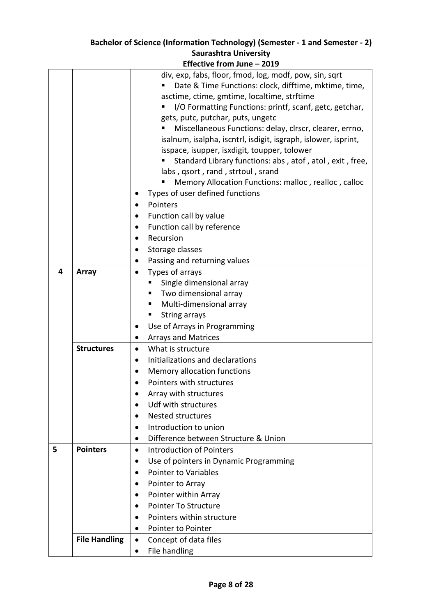| div, exp, fabs, floor, fmod, log, modf, pow, sin, sqrt<br>Date & Time Functions: clock, difftime, mktime, time,<br>asctime, ctime, gmtime, localtime, strftime<br>I/O Formatting Functions: printf, scanf, getc, getchar,<br>ш<br>gets, putc, putchar, puts, ungetc<br>Miscellaneous Functions: delay, clrscr, clearer, errno,<br>isalnum, isalpha, iscntrl, isdigit, isgraph, islower, isprint,<br>isspace, isupper, isxdigit, toupper, tolower<br>Standard Library functions: abs, atof, atol, exit, free,<br>labs, qsort, rand, strtoul, srand<br>Memory Allocation Functions: malloc, realloc, calloc<br>Types of user defined functions<br>Pointers<br>Function call by value<br>Function call by reference<br>٠<br>Recursion<br>$\bullet$ |
|-------------------------------------------------------------------------------------------------------------------------------------------------------------------------------------------------------------------------------------------------------------------------------------------------------------------------------------------------------------------------------------------------------------------------------------------------------------------------------------------------------------------------------------------------------------------------------------------------------------------------------------------------------------------------------------------------------------------------------------------------|
|                                                                                                                                                                                                                                                                                                                                                                                                                                                                                                                                                                                                                                                                                                                                                 |
|                                                                                                                                                                                                                                                                                                                                                                                                                                                                                                                                                                                                                                                                                                                                                 |
|                                                                                                                                                                                                                                                                                                                                                                                                                                                                                                                                                                                                                                                                                                                                                 |
|                                                                                                                                                                                                                                                                                                                                                                                                                                                                                                                                                                                                                                                                                                                                                 |
|                                                                                                                                                                                                                                                                                                                                                                                                                                                                                                                                                                                                                                                                                                                                                 |
|                                                                                                                                                                                                                                                                                                                                                                                                                                                                                                                                                                                                                                                                                                                                                 |
|                                                                                                                                                                                                                                                                                                                                                                                                                                                                                                                                                                                                                                                                                                                                                 |
|                                                                                                                                                                                                                                                                                                                                                                                                                                                                                                                                                                                                                                                                                                                                                 |
|                                                                                                                                                                                                                                                                                                                                                                                                                                                                                                                                                                                                                                                                                                                                                 |
|                                                                                                                                                                                                                                                                                                                                                                                                                                                                                                                                                                                                                                                                                                                                                 |
|                                                                                                                                                                                                                                                                                                                                                                                                                                                                                                                                                                                                                                                                                                                                                 |
|                                                                                                                                                                                                                                                                                                                                                                                                                                                                                                                                                                                                                                                                                                                                                 |
|                                                                                                                                                                                                                                                                                                                                                                                                                                                                                                                                                                                                                                                                                                                                                 |
|                                                                                                                                                                                                                                                                                                                                                                                                                                                                                                                                                                                                                                                                                                                                                 |
|                                                                                                                                                                                                                                                                                                                                                                                                                                                                                                                                                                                                                                                                                                                                                 |
|                                                                                                                                                                                                                                                                                                                                                                                                                                                                                                                                                                                                                                                                                                                                                 |
| Storage classes<br>$\bullet$                                                                                                                                                                                                                                                                                                                                                                                                                                                                                                                                                                                                                                                                                                                    |
| Passing and returning values                                                                                                                                                                                                                                                                                                                                                                                                                                                                                                                                                                                                                                                                                                                    |
| 4<br>Array<br>Types of arrays<br>$\bullet$                                                                                                                                                                                                                                                                                                                                                                                                                                                                                                                                                                                                                                                                                                      |
| Single dimensional array                                                                                                                                                                                                                                                                                                                                                                                                                                                                                                                                                                                                                                                                                                                        |
| Two dimensional array                                                                                                                                                                                                                                                                                                                                                                                                                                                                                                                                                                                                                                                                                                                           |
| Multi-dimensional array                                                                                                                                                                                                                                                                                                                                                                                                                                                                                                                                                                                                                                                                                                                         |
| <b>String arrays</b>                                                                                                                                                                                                                                                                                                                                                                                                                                                                                                                                                                                                                                                                                                                            |
| Use of Arrays in Programming                                                                                                                                                                                                                                                                                                                                                                                                                                                                                                                                                                                                                                                                                                                    |
| <b>Arrays and Matrices</b>                                                                                                                                                                                                                                                                                                                                                                                                                                                                                                                                                                                                                                                                                                                      |
| <b>Structures</b><br>What is structure<br>$\bullet$                                                                                                                                                                                                                                                                                                                                                                                                                                                                                                                                                                                                                                                                                             |
| Initializations and declarations                                                                                                                                                                                                                                                                                                                                                                                                                                                                                                                                                                                                                                                                                                                |
| Memory allocation functions<br>٠                                                                                                                                                                                                                                                                                                                                                                                                                                                                                                                                                                                                                                                                                                                |
| Pointers with structures                                                                                                                                                                                                                                                                                                                                                                                                                                                                                                                                                                                                                                                                                                                        |
| Array with structures                                                                                                                                                                                                                                                                                                                                                                                                                                                                                                                                                                                                                                                                                                                           |
| Udf with structures                                                                                                                                                                                                                                                                                                                                                                                                                                                                                                                                                                                                                                                                                                                             |
| <b>Nested structures</b><br>$\bullet$                                                                                                                                                                                                                                                                                                                                                                                                                                                                                                                                                                                                                                                                                                           |
|                                                                                                                                                                                                                                                                                                                                                                                                                                                                                                                                                                                                                                                                                                                                                 |
| Introduction to union<br>$\bullet$                                                                                                                                                                                                                                                                                                                                                                                                                                                                                                                                                                                                                                                                                                              |
| Difference between Structure & Union<br>$\bullet$                                                                                                                                                                                                                                                                                                                                                                                                                                                                                                                                                                                                                                                                                               |
| 5<br><b>Introduction of Pointers</b><br><b>Pointers</b><br>$\bullet$                                                                                                                                                                                                                                                                                                                                                                                                                                                                                                                                                                                                                                                                            |
| Use of pointers in Dynamic Programming<br>$\bullet$                                                                                                                                                                                                                                                                                                                                                                                                                                                                                                                                                                                                                                                                                             |
| <b>Pointer to Variables</b><br>$\bullet$                                                                                                                                                                                                                                                                                                                                                                                                                                                                                                                                                                                                                                                                                                        |
| Pointer to Array                                                                                                                                                                                                                                                                                                                                                                                                                                                                                                                                                                                                                                                                                                                                |
| Pointer within Array<br>$\bullet$                                                                                                                                                                                                                                                                                                                                                                                                                                                                                                                                                                                                                                                                                                               |
| <b>Pointer To Structure</b><br>$\bullet$                                                                                                                                                                                                                                                                                                                                                                                                                                                                                                                                                                                                                                                                                                        |
| Pointers within structure<br>$\bullet$                                                                                                                                                                                                                                                                                                                                                                                                                                                                                                                                                                                                                                                                                                          |
| Pointer to Pointer<br>$\bullet$                                                                                                                                                                                                                                                                                                                                                                                                                                                                                                                                                                                                                                                                                                                 |
| <b>File Handling</b><br>Concept of data files<br>$\bullet$                                                                                                                                                                                                                                                                                                                                                                                                                                                                                                                                                                                                                                                                                      |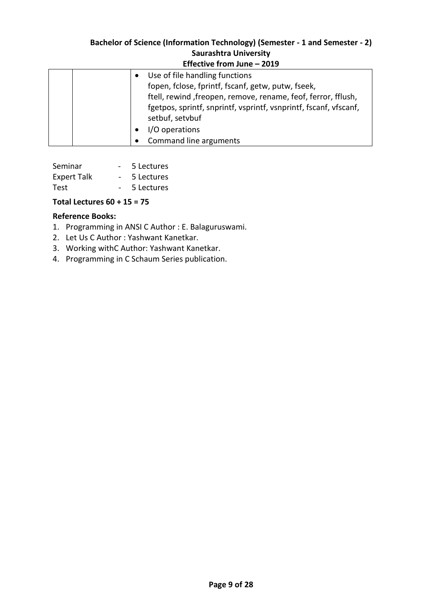| ------------------                                                |
|-------------------------------------------------------------------|
| Use of file handling functions                                    |
| fopen, fclose, fprintf, fscanf, getw, putw, fseek,                |
| ftell, rewind, freopen, remove, rename, feof, ferror, fflush,     |
| fgetpos, sprintf, snprintf, vsprintf, vsnprintf, fscanf, vfscanf, |
| setbuf, setvbuf                                                   |
| I/O operations                                                    |
| Command line arguments                                            |

| Seminar            |                 | 5 Lectures |
|--------------------|-----------------|------------|
| <b>Expert Talk</b> | $\sim$          | 5 Lectures |
| Test               | $\sim$ 10 $\pm$ | 5 Lectures |

#### **Total Lectures 60 + 15 = 75**

#### **Reference Books:**

- 1. Programming in ANSI C Author : E. Balaguruswami.
- 2. Let Us C Author : Yashwant Kanetkar.
- 3. Working withC Author: Yashwant Kanetkar.
- 4. Programming in C Schaum Series publication.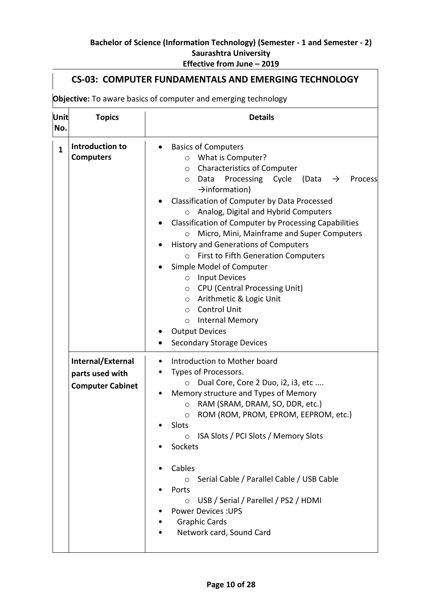| Objective: To aware basics of computer and emerging technology |                                                                 |                                                                                                                                                                                                                                                                                                                                                                                                                                                                                                                                                                                                                                                                                                                                                                                                                               |
|----------------------------------------------------------------|-----------------------------------------------------------------|-------------------------------------------------------------------------------------------------------------------------------------------------------------------------------------------------------------------------------------------------------------------------------------------------------------------------------------------------------------------------------------------------------------------------------------------------------------------------------------------------------------------------------------------------------------------------------------------------------------------------------------------------------------------------------------------------------------------------------------------------------------------------------------------------------------------------------|
| Unit<br>No.                                                    | <b>Topics</b>                                                   | <b>Details</b>                                                                                                                                                                                                                                                                                                                                                                                                                                                                                                                                                                                                                                                                                                                                                                                                                |
| $\mathbf{1}$                                                   | Introduction to<br><b>Computers</b>                             | <b>Basics of Computers</b><br>What is Computer?<br>$\circ$<br><b>Characteristics of Computer</b><br>$\circ$<br>Processing Cycle (Data<br>Data<br>$\rightarrow$<br>Process<br>$\circ$<br>$\rightarrow$ information)<br>Classification of Computer by Data Processed<br>Analog, Digital and Hybrid Computers<br>$\circ$<br>Classification of Computer by Processing Capabilities<br>Micro, Mini, Mainframe and Super Computers<br>$\circ$<br><b>History and Generations of Computers</b><br>First to Fifth Generation Computers<br>$\circ$<br>Simple Model of Computer<br><b>Input Devices</b><br>$\circ$<br><b>CPU (Central Processing Unit)</b><br>$\circ$<br>Arithmetic & Logic Unit<br>$\circ$<br><b>Control Unit</b><br>$\circ$<br>Internal Memory<br>$\circ$<br><b>Output Devices</b><br><b>Secondary Storage Devices</b> |
|                                                                | Internal/External<br>parts used with<br><b>Computer Cabinet</b> | Introduction to Mother board<br>$\bullet$<br>Types of Processors.<br>$\bullet$<br>Dual Core, Core 2 Duo, i2, i3, etc<br>Memory structure and Types of Memory<br>RAM (SRAM, DRAM, SO, DDR, etc.)<br>$\circ$<br>ROM (ROM, PROM, EPROM, EEPROM, etc.)<br>$\circ$<br>Slots<br>ISA Slots / PCI Slots / Memory Slots<br>$\circ$<br>Sockets<br>Cables<br>Serial Cable / Parallel Cable / USB Cable<br>$\circ$<br>Ports<br>USB / Serial / Parellel / PS2 / HDMI<br>$\circ$<br><b>Power Devices: UPS</b><br><b>Graphic Cards</b><br>Network card, Sound Card                                                                                                                                                                                                                                                                           |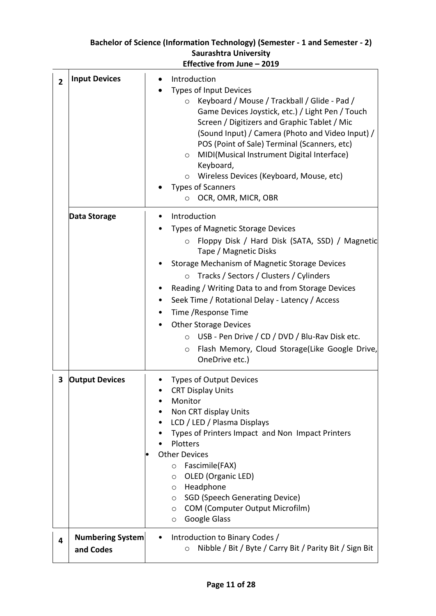# **Effective from June – 2019 2 Input Devices I** • Introduction Types of Input Devices o Keyboard / Mouse / Trackball / Glide - Pad / Game Devices Joystick, etc.) / Light Pen / Touch Screen / Digitizers and Graphic Tablet / Mic (Sound Input) / Camera (Photo and Video Input) / POS (Point of Sale) Terminal (Scanners, etc) o MIDI(Musical Instrument Digital Interface) Keyboard, o Wireless Devices (Keyboard, Mouse, etc) Types of Scanners o OCR, OMR, MICR, OBR **Data Storage**  $\qquad$  **•** Introduction • Types of Magnetic Storage Devices o Floppy Disk / Hard Disk (SATA, SSD) / Magnetic Tape / Magnetic Disks • Storage Mechanism of Magnetic Storage Devices o Tracks / Sectors / Clusters / Cylinders • Reading / Writing Data to and from Storage Devices • Seek Time / Rotational Delay - Latency / Access • Time /Response Time • Other Storage Devices o USB - Pen Drive / CD / DVD / Blu-Rav Disk etc. o Flash Memory, Cloud Storage(Like Google Drive, OneDrive etc.) **3 Output Devices** • Types of Output Devices • CRT Display Units • Monitor • Non CRT display Units • LCD / LED / Plasma Displays • Types of Printers Impact and Non Impact Printers • Plotters **Other Devices** o Fascimile(FAX) o OLED (Organic LED) o Headphone o SGD (Speech Generating Device) o COM (Computer Output Microfilm) o Google Glass **4 Numbering System and Codes**  • Introduction to Binary Codes / o Nibble / Bit / Byte / Carry Bit / Parity Bit / Sign Bit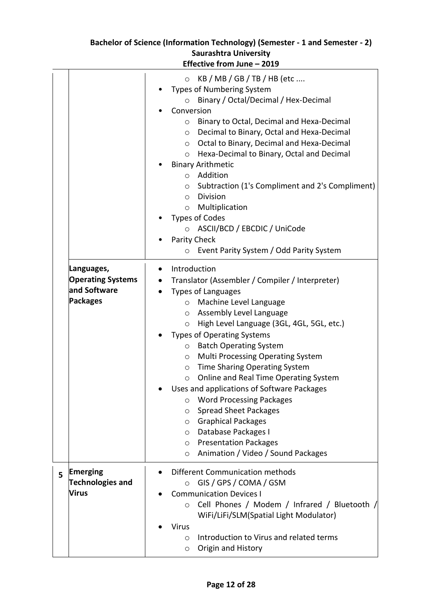|   |                                                                           | ביוואב ווחוון אווב                                                                                                                                                                                                                                                                                                                                                                                                                                                                                                                                                                                                                                                                                                                                                  |
|---|---------------------------------------------------------------------------|---------------------------------------------------------------------------------------------------------------------------------------------------------------------------------------------------------------------------------------------------------------------------------------------------------------------------------------------------------------------------------------------------------------------------------------------------------------------------------------------------------------------------------------------------------------------------------------------------------------------------------------------------------------------------------------------------------------------------------------------------------------------|
|   |                                                                           | $KB / MB / GB / TB / HB$ (etc<br>$\circ$<br><b>Types of Numbering System</b><br>Binary / Octal/Decimal / Hex-Decimal<br>$\circ$<br>Conversion<br>Binary to Octal, Decimal and Hexa-Decimal<br>$\circ$<br>Decimal to Binary, Octal and Hexa-Decimal<br>$\circ$<br>Octal to Binary, Decimal and Hexa-Decimal<br>$\circ$<br>Hexa-Decimal to Binary, Octal and Decimal<br>$\circ$<br><b>Binary Arithmetic</b><br>Addition<br>$\circ$<br>Subtraction (1's Compliment and 2's Compliment)<br>$\circ$<br><b>Division</b><br>$\circ$<br>Multiplication<br>$\circ$<br><b>Types of Codes</b><br>ASCII/BCD / EBCDIC / UniCode<br>Parity Check<br>٠<br>Event Parity System / Odd Parity System<br>$\circ$                                                                       |
|   |                                                                           |                                                                                                                                                                                                                                                                                                                                                                                                                                                                                                                                                                                                                                                                                                                                                                     |
|   | Languages,<br><b>Operating Systems</b><br>and Software<br><b>Packages</b> | Introduction<br>$\bullet$<br>Translator (Assembler / Compiler / Interpreter)<br><b>Types of Languages</b><br>Machine Level Language<br>$\circ$<br>Assembly Level Language<br>$\circ$<br>High Level Language (3GL, 4GL, 5GL, etc.)<br>$\circ$<br><b>Types of Operating Systems</b><br><b>Batch Operating System</b><br>$\circ$<br><b>Multi Processing Operating System</b><br>$\circ$<br>Time Sharing Operating System<br>$\circ$<br>Online and Real Time Operating System<br>$\circ$<br>Uses and applications of Software Packages<br><b>Word Processing Packages</b><br>O<br><b>Spread Sheet Packages</b><br>O<br><b>Graphical Packages</b><br>O<br>Database Packages I<br>O<br><b>Presentation Packages</b><br>O<br>Animation / Video / Sound Packages<br>$\circ$ |
| 5 | Emerging<br><b>Technologies and</b><br><b>Virus</b>                       | Different Communication methods<br>GIS / GPS / COMA / GSM<br>$\circ$<br><b>Communication Devices I</b><br>Cell Phones / Modem / Infrared / Bluetooth /<br>$\circ$<br>WiFi/LiFi/SLM(Spatial Light Modulator)<br><b>Virus</b><br>Introduction to Virus and related terms<br>O<br>Origin and History<br>O                                                                                                                                                                                                                                                                                                                                                                                                                                                              |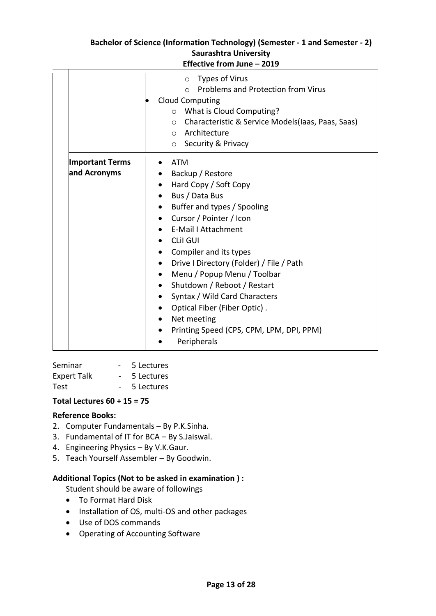|                                                                                            | Types of Virus<br>$\circ$<br><b>Problems and Protection from Virus</b><br>$\bigcap$<br><b>Cloud Computing</b><br>What is Cloud Computing?<br>$\circ$<br>Characteristic & Service Models(laas, Paas, Saas)<br>$\circ$                                                                                                                                                                                                                                      |
|--------------------------------------------------------------------------------------------|-----------------------------------------------------------------------------------------------------------------------------------------------------------------------------------------------------------------------------------------------------------------------------------------------------------------------------------------------------------------------------------------------------------------------------------------------------------|
|                                                                                            | Architecture<br>$\circ$<br>$\circ$ Security & Privacy                                                                                                                                                                                                                                                                                                                                                                                                     |
| <b>Important Terms</b><br>and Acronyms<br>$\bullet$<br>$\bullet$<br>$\bullet$<br>$\bullet$ | ATM<br>• Backup / Restore<br>Hard Copy / Soft Copy<br>Bus / Data Bus<br>Buffer and types / Spooling<br>Cursor / Pointer / Icon<br>E-Mail I Attachment<br><b>CLII GUI</b><br>Compiler and its types<br>Drive I Directory (Folder) / File / Path<br>Menu / Popup Menu / Toolbar<br>Shutdown / Reboot / Restart<br>• Syntax / Wild Card Characters<br>Optical Fiber (Fiber Optic).<br>Net meeting<br>Printing Speed (CPS, CPM, LPM, DPI, PPM)<br>Peripherals |

Seminar - 5 Lectures Expert Talk - 5 Lectures Test - 5 Lectures

#### **Total Lectures 60 + 15 = 75**

#### **Reference Books:**

- 2. Computer Fundamentals By P.K.Sinha.
- 3. Fundamental of IT for BCA By S.Jaiswal.
- 4. Engineering Physics By V.K.Gaur.
- 5. Teach Yourself Assembler By Goodwin.

#### **Additional Topics (Not to be asked in examination ) :**

Student should be aware of followings

- To Format Hard Disk
- Installation of OS, multi-OS and other packages
- Use of DOS commands
- Operating of Accounting Software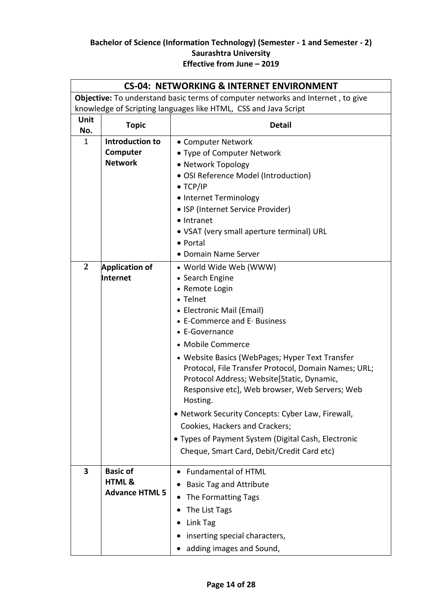|                                                                                        | <b>CS-04: NETWORKING &amp; INTERNET ENVIRONMENT</b>           |                                                                                                                                                                                                                                                                                                                                                                                                                                                                                                                                                                                                               |  |
|----------------------------------------------------------------------------------------|---------------------------------------------------------------|---------------------------------------------------------------------------------------------------------------------------------------------------------------------------------------------------------------------------------------------------------------------------------------------------------------------------------------------------------------------------------------------------------------------------------------------------------------------------------------------------------------------------------------------------------------------------------------------------------------|--|
| <b>Objective:</b> To understand basic terms of computer networks and Internet, to give |                                                               |                                                                                                                                                                                                                                                                                                                                                                                                                                                                                                                                                                                                               |  |
| knowledge of Scripting languages like HTML, CSS and Java Script                        |                                                               |                                                                                                                                                                                                                                                                                                                                                                                                                                                                                                                                                                                                               |  |
| Unit<br>No.                                                                            | <b>Topic</b>                                                  | <b>Detail</b>                                                                                                                                                                                                                                                                                                                                                                                                                                                                                                                                                                                                 |  |
| $\mathbf{1}$                                                                           | Introduction to<br>Computer<br><b>Network</b>                 | • Computer Network<br>• Type of Computer Network<br>• Network Topology<br>• OSI Reference Model (Introduction)<br>$\bullet$ TCP/IP<br>• Internet Terminology<br>• ISP (Internet Service Provider)<br>• Intranet                                                                                                                                                                                                                                                                                                                                                                                               |  |
|                                                                                        |                                                               | • VSAT (very small aperture terminal) URL<br>• Portal<br>• Domain Name Server                                                                                                                                                                                                                                                                                                                                                                                                                                                                                                                                 |  |
| $\overline{2}$                                                                         | <b>Application of</b><br>Internet                             | • World Wide Web (WWW)<br>• Search Engine<br>• Remote Login<br>• Telnet<br>• Electronic Mail (Email)<br>$\bullet$ E-Commerce and E $\cdot$ Business<br>• E-Governance<br>• Mobile Commerce<br>• Website Basics (WebPages; Hyper Text Transfer<br>Protocol, File Transfer Protocol, Domain Names; URL;<br>Protocol Address; Website[Static, Dynamic,<br>Responsive etc], Web browser, Web Servers; Web<br>Hosting.<br>• Network Security Concepts: Cyber Law, Firewall,<br>Cookies, Hackers and Crackers;<br>• Types of Payment System (Digital Cash, Electronic<br>Cheque, Smart Card, Debit/Credit Card etc) |  |
| 3                                                                                      | <b>Basic of</b><br><b>HTML &amp;</b><br><b>Advance HTML 5</b> | <b>Fundamental of HTML</b><br><b>Basic Tag and Attribute</b><br>The Formatting Tags<br>The List Tags<br>Link Tag<br>inserting special characters,<br>adding images and Sound,                                                                                                                                                                                                                                                                                                                                                                                                                                 |  |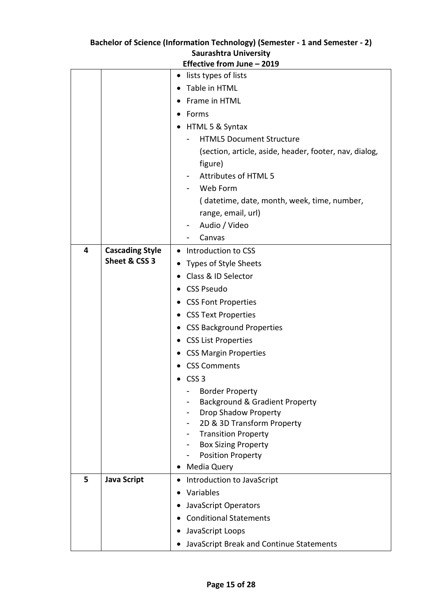| Saurasntra University |                        |                                                        |
|-----------------------|------------------------|--------------------------------------------------------|
|                       |                        | Effective from June - 2019                             |
|                       |                        | lists types of lists                                   |
|                       |                        | Table in HTML                                          |
|                       |                        | Frame in HTML                                          |
|                       |                        | Forms                                                  |
|                       |                        | HTML 5 & Syntax                                        |
|                       |                        | <b>HTML5 Document Structure</b>                        |
|                       |                        | (section, article, aside, header, footer, nav, dialog, |
|                       |                        | figure)                                                |
|                       |                        | Attributes of HTML 5                                   |
|                       |                        | Web Form                                               |
|                       |                        | (datetime, date, month, week, time, number,            |
|                       |                        | range, email, url)                                     |
|                       |                        | Audio / Video                                          |
|                       |                        | Canvas                                                 |
| 4                     | <b>Cascading Style</b> | Introduction to CSS                                    |
|                       | Sheet & CSS 3          | Types of Style Sheets                                  |
|                       |                        | Class & ID Selector                                    |
|                       |                        | <b>CSS Pseudo</b>                                      |
|                       |                        | <b>CSS Font Properties</b>                             |
|                       |                        | <b>CSS Text Properties</b>                             |
|                       |                        | <b>CSS Background Properties</b>                       |
|                       |                        | <b>CSS List Properties</b>                             |
|                       |                        | <b>CSS Margin Properties</b>                           |
|                       |                        | <b>CSS Comments</b>                                    |
|                       |                        | CSS <sub>3</sub>                                       |
|                       |                        | <b>Border Property</b>                                 |
|                       |                        | Background & Gradient Property                         |
|                       |                        | <b>Drop Shadow Property</b>                            |
|                       |                        | 2D & 3D Transform Property                             |
|                       |                        | <b>Transition Property</b>                             |
|                       |                        | <b>Box Sizing Property</b><br><b>Position Property</b> |
|                       |                        | Media Query                                            |
| 5                     | <b>Java Script</b>     | Introduction to JavaScript                             |
|                       |                        | Variables                                              |
|                       |                        | JavaScript Operators                                   |
|                       |                        | <b>Conditional Statements</b>                          |
|                       |                        |                                                        |
|                       |                        | JavaScript Loops<br>$\bullet$                          |
|                       |                        | JavaScript Break and Continue Statements               |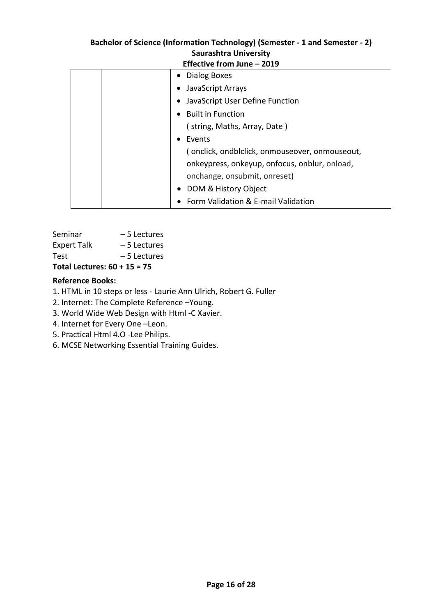| <b>Effective from June – 2019</b>              |  |  |
|------------------------------------------------|--|--|
| • Dialog Boxes                                 |  |  |
| JavaScript Arrays                              |  |  |
| JavaScript User Define Function                |  |  |
| <b>Built in Function</b>                       |  |  |
| (string, Maths, Array, Date)                   |  |  |
| Events                                         |  |  |
| (onclick, ondblclick, onmouseover, onmouseout, |  |  |
| onkeypress, onkeyup, onfocus, onblur, onload,  |  |  |
| onchange, onsubmit, onreset)                   |  |  |
| DOM & History Object                           |  |  |
| Form Validation & E-mail Validation            |  |  |
|                                                |  |  |

| Total Lectures: 60 + 15 = 75 |              |  |
|------------------------------|--------------|--|
| Test                         | – 5 Lectures |  |
| <b>Expert Talk</b>           | – 5 Lectures |  |
| Seminar                      | – 5 Lectures |  |

# **Reference Books:**

- 1. HTML in 10 steps or less Laurie Ann Ulrich, Robert G. Fuller
- 2. Internet: The Complete Reference –Young.
- 3. World Wide Web Design with Html -C Xavier.
- 4. Internet for Every One –Leon.
- 5. Practical Html 4.O -Lee Philips.
- 6. MCSE Networking Essential Training Guides.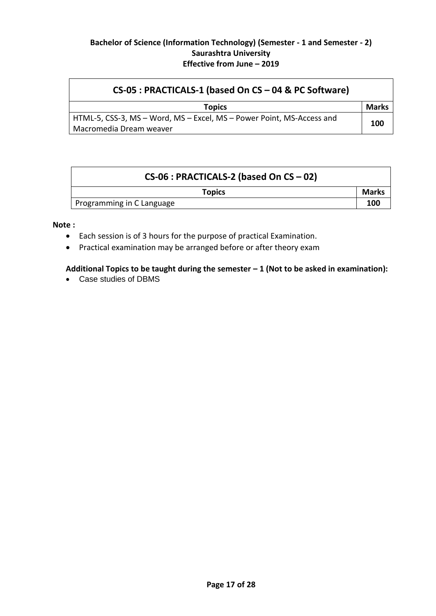| CS-05 : PRACTICALS-1 (based On CS - 04 & PC Software)                                            |       |  |
|--------------------------------------------------------------------------------------------------|-------|--|
| <b>Topics</b>                                                                                    | Marks |  |
| HTML-5, CSS-3, MS – Word, MS – Excel, MS – Power Point, MS-Access and<br>Macromedia Dream weaver | 100   |  |

| $CS-06$ : PRACTICALS-2 (based On CS - 02) |              |
|-------------------------------------------|--------------|
| <b>Topics</b>                             | <b>Marks</b> |
| Programming in C Language                 | 100          |

**Note :**

- Each session is of 3 hours for the purpose of practical Examination.
- Practical examination may be arranged before or after theory exam

# **Additional Topics to be taught during the semester – 1 (Not to be asked in examination):**

Case studies of DBMS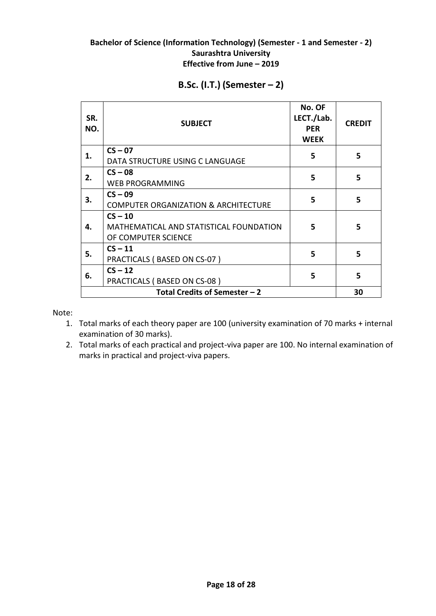| SR.<br>NO.                                          | <b>SUBJECT</b>                                                              | No. OF<br>LECT./Lab.<br><b>PER</b><br><b>WEEK</b> | <b>CREDIT</b> |
|-----------------------------------------------------|-----------------------------------------------------------------------------|---------------------------------------------------|---------------|
| 1.                                                  | $CS - 07$<br>DATA STRUCTURE USING C LANGUAGE                                | 5                                                 | 5             |
| 2.                                                  | $CS - 08$<br><b>WEB PROGRAMMING</b>                                         | 5                                                 | 5             |
| 3.                                                  | $CS - 09$<br><b>COMPUTER ORGANIZATION &amp; ARCHITECTURE</b>                | 5                                                 | 5             |
| 4.                                                  | $CS - 10$<br>MATHEMATICAL AND STATISTICAL FOUNDATION<br>OF COMPUTER SCIENCE |                                                   | 5             |
| 5.                                                  | $CS - 11$<br>PRACTICALS (BASED ON CS-07)                                    |                                                   | 5             |
| $CS - 12$<br>5<br>6.<br>PRACTICALS (BASED ON CS-08) |                                                                             |                                                   | 5             |
|                                                     | Total Credits of Semester $-2$                                              |                                                   | 30            |

# **B.Sc. (I.T.) (Semester – 2)**

Note:

- 1. Total marks of each theory paper are 100 (university examination of 70 marks + internal examination of 30 marks).
- 2. Total marks of each practical and project-viva paper are 100. No internal examination of marks in practical and project-viva papers.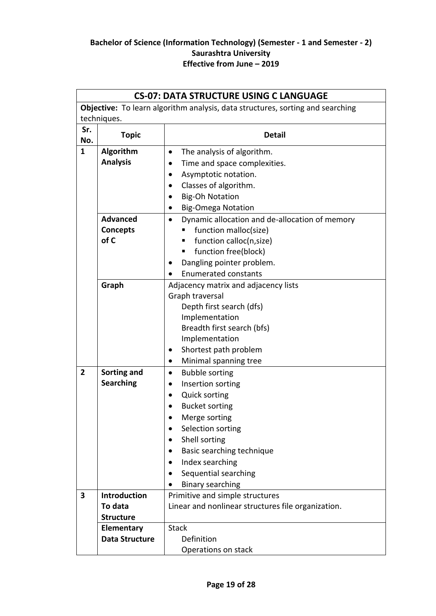| <b>CS-07: DATA STRUCTURE USING C LANGUAGE</b>                                         |                                     |                                                             |  |  |  |
|---------------------------------------------------------------------------------------|-------------------------------------|-------------------------------------------------------------|--|--|--|
| <b>Objective:</b> To learn algorithm analysis, data structures, sorting and searching |                                     |                                                             |  |  |  |
|                                                                                       | techniques.                         |                                                             |  |  |  |
| Sr.<br>No.                                                                            | <b>Topic</b>                        | <b>Detail</b>                                               |  |  |  |
| $\mathbf{1}$                                                                          | Algorithm                           | The analysis of algorithm.<br>$\bullet$                     |  |  |  |
|                                                                                       | <b>Analysis</b>                     | Time and space complexities.                                |  |  |  |
|                                                                                       |                                     | Asymptotic notation.<br>$\bullet$                           |  |  |  |
|                                                                                       |                                     | Classes of algorithm.<br>$\bullet$                          |  |  |  |
|                                                                                       |                                     | <b>Big-Oh Notation</b>                                      |  |  |  |
|                                                                                       |                                     | <b>Big-Omega Notation</b><br>$\bullet$                      |  |  |  |
|                                                                                       | <b>Advanced</b>                     | Dynamic allocation and de-allocation of memory<br>$\bullet$ |  |  |  |
|                                                                                       | <b>Concepts</b>                     | function malloc(size)<br>п                                  |  |  |  |
|                                                                                       | of C                                | function calloc(n, size)                                    |  |  |  |
|                                                                                       |                                     | function free(block)<br>٠                                   |  |  |  |
|                                                                                       |                                     | Dangling pointer problem.                                   |  |  |  |
|                                                                                       |                                     | <b>Enumerated constants</b>                                 |  |  |  |
|                                                                                       | Graph                               | Adjacency matrix and adjacency lists                        |  |  |  |
|                                                                                       |                                     | Graph traversal                                             |  |  |  |
|                                                                                       |                                     | Depth first search (dfs)                                    |  |  |  |
|                                                                                       |                                     | Implementation                                              |  |  |  |
|                                                                                       |                                     | Breadth first search (bfs)                                  |  |  |  |
|                                                                                       |                                     | Implementation                                              |  |  |  |
|                                                                                       |                                     | Shortest path problem<br>$\bullet$                          |  |  |  |
|                                                                                       |                                     | Minimal spanning tree<br>٠                                  |  |  |  |
| $\overline{2}$                                                                        | Sorting and                         | <b>Bubble sorting</b><br>٠                                  |  |  |  |
|                                                                                       | <b>Searching</b>                    | Insertion sorting<br>٠                                      |  |  |  |
|                                                                                       |                                     | <b>Quick sorting</b><br>$\bullet$                           |  |  |  |
|                                                                                       |                                     | <b>Bucket sorting</b>                                       |  |  |  |
|                                                                                       |                                     | Merge sorting                                               |  |  |  |
|                                                                                       |                                     | Selection sorting                                           |  |  |  |
|                                                                                       |                                     | Shell sorting                                               |  |  |  |
|                                                                                       |                                     | Basic searching technique                                   |  |  |  |
|                                                                                       |                                     | Index searching<br>$\bullet$                                |  |  |  |
|                                                                                       |                                     | Sequential searching                                        |  |  |  |
|                                                                                       |                                     | <b>Binary searching</b>                                     |  |  |  |
| 3                                                                                     | <b>Introduction</b>                 | Primitive and simple structures                             |  |  |  |
|                                                                                       | To data                             | Linear and nonlinear structures file organization.          |  |  |  |
|                                                                                       | <b>Structure</b>                    |                                                             |  |  |  |
|                                                                                       | Elementary<br><b>Data Structure</b> | <b>Stack</b><br>Definition                                  |  |  |  |
|                                                                                       |                                     |                                                             |  |  |  |
|                                                                                       |                                     | Operations on stack                                         |  |  |  |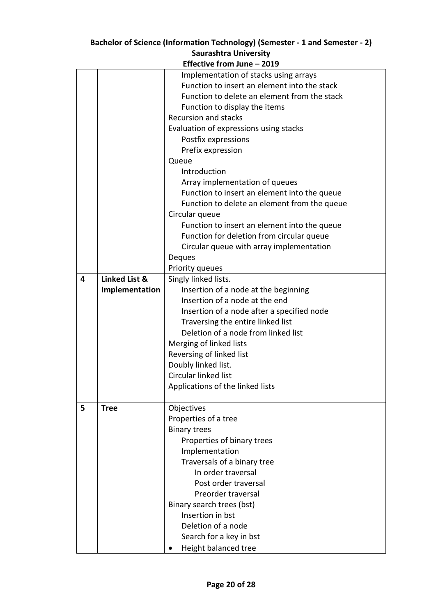|   | Effective from June - 2019 |                                              |  |  |
|---|----------------------------|----------------------------------------------|--|--|
|   |                            | Implementation of stacks using arrays        |  |  |
|   |                            | Function to insert an element into the stack |  |  |
|   |                            | Function to delete an element from the stack |  |  |
|   |                            | Function to display the items                |  |  |
|   |                            | <b>Recursion and stacks</b>                  |  |  |
|   |                            | Evaluation of expressions using stacks       |  |  |
|   |                            | Postfix expressions                          |  |  |
|   |                            | Prefix expression                            |  |  |
|   |                            | Queue                                        |  |  |
|   |                            | Introduction                                 |  |  |
|   |                            | Array implementation of queues               |  |  |
|   |                            | Function to insert an element into the queue |  |  |
|   |                            | Function to delete an element from the queue |  |  |
|   |                            | Circular queue                               |  |  |
|   |                            | Function to insert an element into the queue |  |  |
|   |                            | Function for deletion from circular queue    |  |  |
|   |                            | Circular queue with array implementation     |  |  |
|   |                            | Deques                                       |  |  |
|   |                            | Priority queues                              |  |  |
| 4 | Linked List &              | Singly linked lists.                         |  |  |
|   | Implementation             | Insertion of a node at the beginning         |  |  |
|   |                            | Insertion of a node at the end               |  |  |
|   |                            | Insertion of a node after a specified node   |  |  |
|   |                            | Traversing the entire linked list            |  |  |
|   |                            | Deletion of a node from linked list          |  |  |
|   |                            | Merging of linked lists                      |  |  |
|   |                            | Reversing of linked list                     |  |  |
|   |                            | Doubly linked list.                          |  |  |
|   |                            | Circular linked list                         |  |  |
|   |                            | Applications of the linked lists             |  |  |
|   |                            |                                              |  |  |
| 5 | <b>Tree</b>                | Objectives                                   |  |  |
|   |                            | Properties of a tree                         |  |  |
|   |                            | <b>Binary trees</b>                          |  |  |
|   |                            | Properties of binary trees                   |  |  |
|   |                            | Implementation                               |  |  |
|   |                            | Traversals of a binary tree                  |  |  |
|   |                            | In order traversal                           |  |  |
|   |                            | Post order traversal                         |  |  |
|   |                            | Preorder traversal                           |  |  |
|   |                            | Binary search trees (bst)                    |  |  |
|   |                            | Insertion in bst                             |  |  |
|   |                            | Deletion of a node                           |  |  |
|   |                            | Search for a key in bst                      |  |  |
|   |                            | Height balanced tree                         |  |  |
|   |                            |                                              |  |  |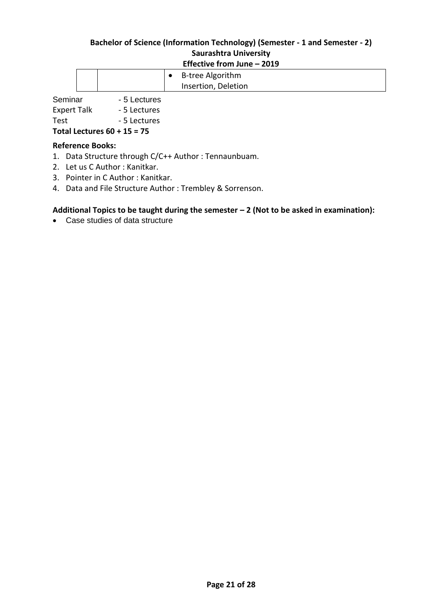|  |  | _____________________<br>----- |
|--|--|--------------------------------|
|  |  | B-tree Algorithm               |
|  |  | Insertion, Deletion            |

Seminar - 5 Lectures

Expert Talk - 5 Lectures

Test Fig. 2014 - 5 Lectures

**Total Lectures 60 + 15 = 75**

#### **Reference Books:**

- 1. Data Structure through C/C++ Author : Tennaunbuam.
- 2. Let us C Author : Kanitkar.
- 3. Pointer in C Author : Kanitkar.
- 4. Data and File Structure Author : Trembley & Sorrenson.

#### **Additional Topics to be taught during the semester – 2 (Not to be asked in examination):**

Case studies of data structure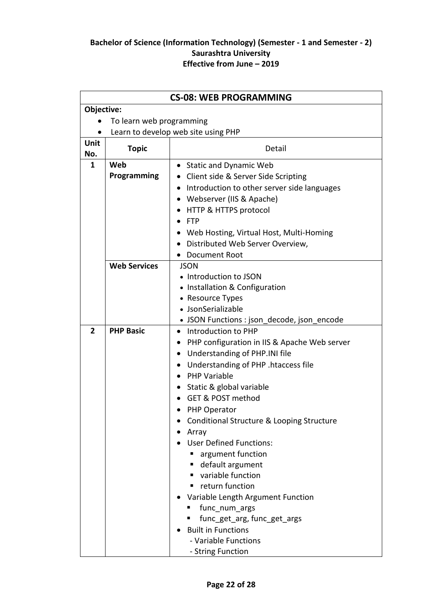|                |                          | <b>CS-08: WEB PROGRAMMING</b>                                                        |
|----------------|--------------------------|--------------------------------------------------------------------------------------|
| Objective:     |                          |                                                                                      |
|                | To learn web programming |                                                                                      |
| $\bullet$      |                          | Learn to develop web site using PHP                                                  |
| Unit           | <b>Topic</b>             | Detail                                                                               |
| No.<br>1       | Web                      |                                                                                      |
|                | Programming              | • Static and Dynamic Web                                                             |
|                |                          | • Client side & Server Side Scripting<br>Introduction to other server side languages |
|                |                          |                                                                                      |
|                |                          | Webserver (IIS & Apache)<br>$\bullet$<br>HTTP & HTTPS protocol                       |
|                |                          | <b>FTP</b><br>$\bullet$                                                              |
|                |                          | Web Hosting, Virtual Host, Multi-Homing                                              |
|                |                          | Distributed Web Server Overview,                                                     |
|                |                          | Document Root                                                                        |
|                | <b>Web Services</b>      | <b>JSON</b>                                                                          |
|                |                          | • Introduction to JSON                                                               |
|                |                          | • Installation & Configuration                                                       |
|                |                          | • Resource Types                                                                     |
|                |                          | • JsonSerializable                                                                   |
|                |                          | • JSON Functions : json_decode, json_encode                                          |
| $\overline{2}$ | <b>PHP Basic</b>         | Introduction to PHP<br>$\bullet$                                                     |
|                |                          | PHP configuration in IIS & Apache Web server                                         |
|                |                          | Understanding of PHP.INI file<br>$\bullet$                                           |
|                |                          | Understanding of PHP .htaccess file<br>$\bullet$                                     |
|                |                          | <b>PHP Variable</b><br>$\bullet$                                                     |
|                |                          | • Static & global variable                                                           |
|                |                          | GET & POST method                                                                    |
|                |                          | PHP Operator                                                                         |
|                |                          | Conditional Structure & Looping Structure                                            |
|                |                          | Array                                                                                |
|                |                          | <b>User Defined Functions:</b>                                                       |
|                |                          | argument function                                                                    |
|                |                          | default argument<br>п                                                                |
|                |                          | variable function                                                                    |
|                |                          | return function<br>٠                                                                 |
|                |                          | Variable Length Argument Function                                                    |
|                |                          | func num args                                                                        |
|                |                          | func_get_arg, func_get_args                                                          |
|                |                          | <b>Built in Functions</b>                                                            |
|                |                          | - Variable Functions                                                                 |
|                |                          | - String Function                                                                    |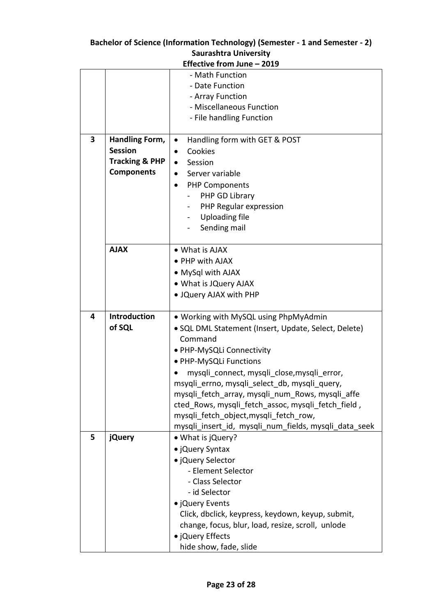|   | Effective from June - 2019       |                                                       |  |
|---|----------------------------------|-------------------------------------------------------|--|
|   |                                  | - Math Function<br>- Date Function                    |  |
|   |                                  | - Array Function                                      |  |
|   |                                  | - Miscellaneous Function                              |  |
|   |                                  | - File handling Function                              |  |
| 3 | Handling Form,<br><b>Session</b> | Handling form with GET & POST<br>$\bullet$<br>Cookies |  |
|   | <b>Tracking &amp; PHP</b>        | Session<br>$\bullet$                                  |  |
|   | <b>Components</b>                | Server variable                                       |  |
|   |                                  |                                                       |  |
|   |                                  | <b>PHP Components</b><br>$\bullet$                    |  |
|   |                                  | PHP GD Library<br>PHP Regular expression              |  |
|   |                                  | <b>Uploading file</b>                                 |  |
|   |                                  | Sending mail                                          |  |
|   |                                  |                                                       |  |
|   | <b>AJAX</b>                      | • What is AJAX                                        |  |
|   |                                  | • PHP with AJAX                                       |  |
|   |                                  | • MySql with AJAX                                     |  |
|   |                                  | • What is JQuery AJAX                                 |  |
|   |                                  | . JQuery AJAX with PHP                                |  |
| 4 | <b>Introduction</b>              | • Working with MySQL using PhpMyAdmin                 |  |
|   | of SQL                           | • SQL DML Statement (Insert, Update, Select, Delete)  |  |
|   |                                  | Command                                               |  |
|   |                                  | • PHP-MySQLi Connectivity                             |  |
|   |                                  | · PHP-MySQLi Functions                                |  |
|   |                                  | mysqli connect, mysqli close, mysqli error,           |  |
|   |                                  | msyqli_errno, mysqli_select_db, mysqli_query,         |  |
|   |                                  | mysqli fetch_array, mysqli_num_Rows, mysqli_affe      |  |
|   |                                  | cted Rows, mysqli fetch assoc, mysqli fetch field,    |  |
|   |                                  | mysqli fetch object, mysqli fetch row,                |  |
|   |                                  | mysqli_insert_id, mysqli_num_fields, mysqli_data_seek |  |
| 5 | <b>jQuery</b>                    | • What is jQuery?                                     |  |
|   |                                  | • ¡Query Syntax                                       |  |
|   |                                  | · jQuery Selector                                     |  |
|   |                                  | - Element Selector                                    |  |
|   |                                  | - Class Selector                                      |  |
|   |                                  | - id Selector                                         |  |
|   |                                  | • jQuery Events                                       |  |
|   |                                  | Click, dbclick, keypress, keydown, keyup, submit,     |  |
|   |                                  | change, focus, blur, load, resize, scroll, unlode     |  |
|   |                                  | • jQuery Effects                                      |  |
|   |                                  | hide show, fade, slide                                |  |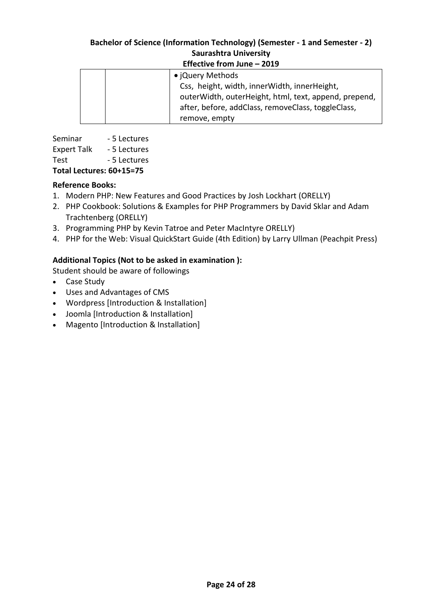| LUCCUVE TIVIII JUNE<br>-2017 |                                                       |  |
|------------------------------|-------------------------------------------------------|--|
|                              | • jQuery Methods                                      |  |
|                              | Css, height, width, innerWidth, innerHeight,          |  |
|                              | outerWidth, outerHeight, html, text, append, prepend, |  |
|                              | after, before, addClass, removeClass, toggleClass,    |  |
|                              | remove, empty                                         |  |

Seminar - 5 Lectures Expert Talk - 5 Lectures Test - 5 Lectures

# **Total Lectures: 60+15=75**

# **Reference Books:**

- 1. [Modern PHP: New Features and Good Practices b](http://www.amazon.com/Modern-PHP-Features-Good-Practices/dp/1491905018/ref=sr_1_4/179-1137637-7060419?s=books&ie=UTF8&qid=1455793160&sr=1-4)y Josh Lockhart (ORELLY)
- 2. [PHP Cookbook: Solutions & Examples for PHP Programmers](http://www.amazon.com/PHP-Cookbook-Solutions-Examples-Programmers/dp/144936375X/ref=sr_1_6/179-1137637-7060419?s=books&ie=UTF8&qid=1455793160&sr=1-6) by David Sklar and Adam Trachtenberg (ORELLY)
- 3. [Programming PHP b](http://www.amazon.com/Programming-PHP-Kevin-Tatroe/dp/1449392776/ref=sr_1_8/179-1137637-7060419?s=books&ie=UTF8&qid=1455793160&sr=1-8)y [Kevin Tatroe](http://www.amazon.com/Kevin-Tatroe/e/B001IGO9A2/ref=sr_ntt_srch_lnk_8?qid=1455793160&sr=1-8) and Peter MacIntyre ORELLY)
- 4. [PHP for the Web: Visual QuickStart Guide \(4th Edition\)](http://www.amazon.com/PHP-Web-Visual-QuickStart-Guide/dp/0321733452/ref=sr_1_5/179-1137637-7060419?s=books&ie=UTF8&qid=1455793160&sr=1-5) by Larry Ullman (Peachpit Press)

# **Additional Topics (Not to be asked in examination ):**

Student should be aware of followings

- Case Study
- Uses and Advantages of CMS
- Wordpress [Introduction & Installation]
- Joomla [Introduction & Installation]
- Magento [Introduction & Installation]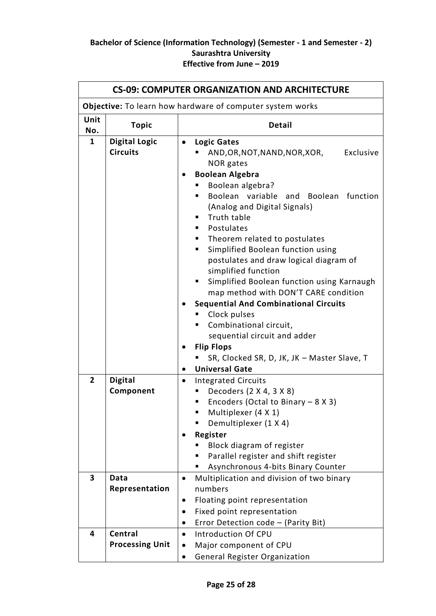| <b>CS-09: COMPUTER ORGANIZATION AND ARCHITECTURE</b> |                                                           |                                                                                                                                                                                                                                                                                                                                                                                                                                                                                                                                                                                                                                                                                                                           |  |
|------------------------------------------------------|-----------------------------------------------------------|---------------------------------------------------------------------------------------------------------------------------------------------------------------------------------------------------------------------------------------------------------------------------------------------------------------------------------------------------------------------------------------------------------------------------------------------------------------------------------------------------------------------------------------------------------------------------------------------------------------------------------------------------------------------------------------------------------------------------|--|
|                                                      | Objective: To learn how hardware of computer system works |                                                                                                                                                                                                                                                                                                                                                                                                                                                                                                                                                                                                                                                                                                                           |  |
| Unit<br>No.                                          | <b>Topic</b>                                              | <b>Detail</b>                                                                                                                                                                                                                                                                                                                                                                                                                                                                                                                                                                                                                                                                                                             |  |
| $\mathbf{1}$                                         | <b>Digital Logic</b><br><b>Circuits</b>                   | <b>Logic Gates</b><br>٠<br>Exclusive<br>AND, OR, NOT, NAND, NOR, XOR,<br>NOR gates<br><b>Boolean Algebra</b><br>Boolean algebra?<br>Boolean variable and Boolean function<br>(Analog and Digital Signals)<br>Truth table<br>п<br>Postulates<br>٠<br>Theorem related to postulates<br>п.<br>Simplified Boolean function using<br>٠<br>postulates and draw logical diagram of<br>simplified function<br>Simplified Boolean function using Karnaugh<br>٠<br>map method with DON'T CARE condition<br><b>Sequential And Combinational Circuits</b><br>Clock pulses<br>Combinational circuit,<br>٠<br>sequential circuit and adder<br><b>Flip Flops</b><br>SR, Clocked SR, D, JK, JK - Master Slave, T<br><b>Universal Gate</b> |  |
| $\overline{2}$                                       | <b>Digital</b><br>Component                               | <b>Integrated Circuits</b><br>$\bullet$<br>Decoders (2 X 4, 3 X 8)<br>п<br>Encoders (Octal to Binary $-8 X 3$ )<br>п<br>Multiplexer (4 X 1)<br>Demultiplexer (1 X 4)                                                                                                                                                                                                                                                                                                                                                                                                                                                                                                                                                      |  |
|                                                      |                                                           | Register<br>Block diagram of register<br>Parallel register and shift register<br>Asynchronous 4-bits Binary Counter<br>п                                                                                                                                                                                                                                                                                                                                                                                                                                                                                                                                                                                                  |  |
| 3                                                    | Data<br>Representation                                    | Multiplication and division of two binary<br>numbers<br>Floating point representation<br>Fixed point representation<br>Error Detection code - (Parity Bit)                                                                                                                                                                                                                                                                                                                                                                                                                                                                                                                                                                |  |
| 4                                                    | Central<br><b>Processing Unit</b>                         | Introduction Of CPU<br>Major component of CPU<br>General Register Organization                                                                                                                                                                                                                                                                                                                                                                                                                                                                                                                                                                                                                                            |  |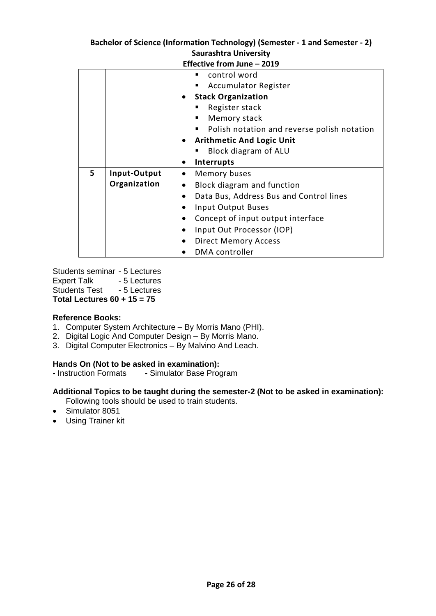| Effective from June - 2019 |              |                                                      |  |
|----------------------------|--------------|------------------------------------------------------|--|
|                            |              | control word                                         |  |
|                            |              | <b>Accumulator Register</b>                          |  |
|                            |              | <b>Stack Organization</b>                            |  |
|                            |              | Register stack                                       |  |
|                            |              | Memory stack<br>٠                                    |  |
|                            |              | Polish notation and reverse polish notation          |  |
|                            |              | <b>Arithmetic And Logic Unit</b>                     |  |
|                            |              | Block diagram of ALU                                 |  |
|                            |              | <b>Interrupts</b><br>$\bullet$                       |  |
| 5                          | Input-Output | Memory buses<br>$\bullet$                            |  |
|                            | Organization | Block diagram and function<br>٠                      |  |
|                            |              | Data Bus, Address Bus and Control lines<br>$\bullet$ |  |
|                            |              | Input Output Buses                                   |  |
|                            |              | Concept of input output interface<br>$\bullet$       |  |
|                            |              | Input Out Processor (IOP)<br>$\bullet$               |  |
|                            |              | <b>Direct Memory Access</b><br>$\bullet$             |  |
|                            |              | <b>DMA</b> controller                                |  |

Students seminar - 5 Lectures Expert Talk - 5 Lectures Students Test - 5 Lectures **Total Lectures 60 + 15 = 75**

#### **Reference Books:**

- 1. Computer System Architecture By Morris Mano (PHI).
- 2. Digital Logic And Computer Design By Morris Mano.
- 3. Digital Computer Electronics By Malvino And Leach.

#### **Hands On (Not to be asked in examination):**

**-** Instruction Formats **-** Simulator Base Program

#### **Additional Topics to be taught during the semester-2 (Not to be asked in examination):**

Following tools should be used to train students.

- Simulator 8051
- Using Trainer kit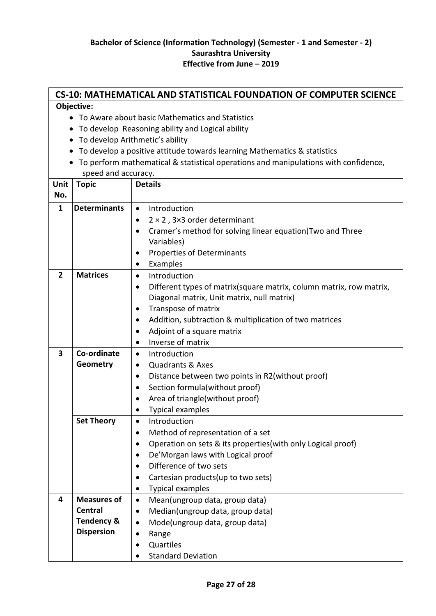|                | <b>CS-10: MATHEMATICAL AND STATISTICAL FOUNDATION OF COMPUTER SCIENCE</b> |                                                                                     |  |  |  |  |
|----------------|---------------------------------------------------------------------------|-------------------------------------------------------------------------------------|--|--|--|--|
|                | Objective:                                                                |                                                                                     |  |  |  |  |
|                | • To Aware about basic Mathematics and Statistics                         |                                                                                     |  |  |  |  |
|                |                                                                           | To develop Reasoning ability and Logical ability                                    |  |  |  |  |
| $\bullet$      |                                                                           | To develop Arithmetic's ability                                                     |  |  |  |  |
|                |                                                                           | To develop a positive attitude towards learning Mathematics & statistics            |  |  |  |  |
|                |                                                                           | To perform mathematical & statistical operations and manipulations with confidence, |  |  |  |  |
|                | speed and accuracy.                                                       |                                                                                     |  |  |  |  |
| Unit           | <b>Topic</b>                                                              | <b>Details</b>                                                                      |  |  |  |  |
| No.            |                                                                           |                                                                                     |  |  |  |  |
| $\mathbf{1}$   | <b>Determinants</b>                                                       | Introduction<br>$\bullet$                                                           |  |  |  |  |
|                |                                                                           | $2 \times 2$ , 3×3 order determinant<br>$\bullet$                                   |  |  |  |  |
|                |                                                                           | Cramer's method for solving linear equation(Two and Three<br>$\bullet$              |  |  |  |  |
|                |                                                                           | Variables)                                                                          |  |  |  |  |
|                |                                                                           | Properties of Determinants<br>٠                                                     |  |  |  |  |
|                |                                                                           | Examples                                                                            |  |  |  |  |
| $\overline{2}$ | <b>Matrices</b>                                                           | Introduction<br>$\bullet$                                                           |  |  |  |  |
|                |                                                                           | Different types of matrix(square matrix, column matrix, row matrix,<br>٠            |  |  |  |  |
|                |                                                                           | Diagonal matrix, Unit matrix, null matrix)                                          |  |  |  |  |
|                |                                                                           | Transpose of matrix<br>٠                                                            |  |  |  |  |
|                |                                                                           | Addition, subtraction & multiplication of two matrices                              |  |  |  |  |
|                |                                                                           | Adjoint of a square matrix                                                          |  |  |  |  |
|                |                                                                           | Inverse of matrix<br>٠                                                              |  |  |  |  |
| 3              | Co-ordinate                                                               | Introduction<br>$\bullet$                                                           |  |  |  |  |
|                | Geometry                                                                  | <b>Quadrants &amp; Axes</b><br>٠                                                    |  |  |  |  |
|                |                                                                           | Distance between two points in R2(without proof)<br>٠                               |  |  |  |  |
|                |                                                                           | Section formula (without proof)                                                     |  |  |  |  |
|                |                                                                           | Area of triangle(without proof)                                                     |  |  |  |  |
|                |                                                                           | <b>Typical examples</b>                                                             |  |  |  |  |
|                | <b>Set Theory</b>                                                         | Introduction<br>$\bullet$                                                           |  |  |  |  |
|                |                                                                           | Method of representation of a set                                                   |  |  |  |  |
|                |                                                                           | Operation on sets & its properties (with only Logical proof)                        |  |  |  |  |
|                |                                                                           | De'Morgan laws with Logical proof<br>$\bullet$                                      |  |  |  |  |
|                |                                                                           | Difference of two sets                                                              |  |  |  |  |
|                |                                                                           | Cartesian products (up to two sets)<br>٠                                            |  |  |  |  |
|                |                                                                           | Typical examples                                                                    |  |  |  |  |
| 4              | <b>Measures of</b>                                                        | Mean(ungroup data, group data)<br>$\bullet$                                         |  |  |  |  |
|                | <b>Central</b>                                                            | Median(ungroup data, group data)<br>٠                                               |  |  |  |  |
|                | <b>Tendency &amp;</b>                                                     | Mode(ungroup data, group data)                                                      |  |  |  |  |
|                | <b>Dispersion</b>                                                         | Range<br>$\bullet$                                                                  |  |  |  |  |
|                |                                                                           | Quartiles                                                                           |  |  |  |  |
|                |                                                                           | <b>Standard Deviation</b>                                                           |  |  |  |  |